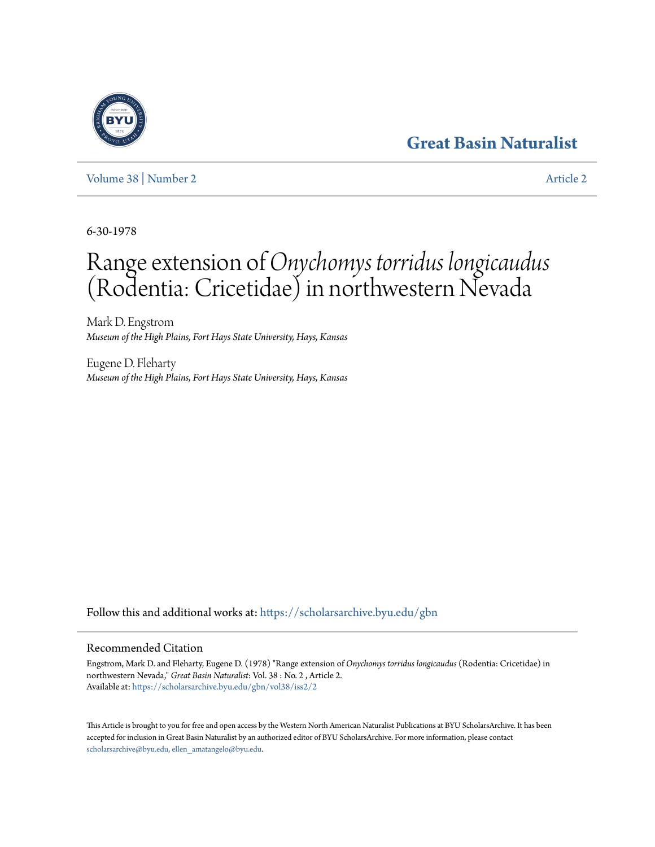## **[Great Basin Naturalist](https://scholarsarchive.byu.edu/gbn?utm_source=scholarsarchive.byu.edu%2Fgbn%2Fvol38%2Fiss2%2F2&utm_medium=PDF&utm_campaign=PDFCoverPages)**

[Volume 38](https://scholarsarchive.byu.edu/gbn/vol38?utm_source=scholarsarchive.byu.edu%2Fgbn%2Fvol38%2Fiss2%2F2&utm_medium=PDF&utm_campaign=PDFCoverPages) | [Number 2](https://scholarsarchive.byu.edu/gbn/vol38/iss2?utm_source=scholarsarchive.byu.edu%2Fgbn%2Fvol38%2Fiss2%2F2&utm_medium=PDF&utm_campaign=PDFCoverPages) [Article 2](https://scholarsarchive.byu.edu/gbn/vol38/iss2/2?utm_source=scholarsarchive.byu.edu%2Fgbn%2Fvol38%2Fiss2%2F2&utm_medium=PDF&utm_campaign=PDFCoverPages)

6-30-1978

## Range extension of*Onychomys torridus longicaudus* (Rodentia: Cricetidae) in northwestern Nevada

Mark D. Engstrom *Museum of the High Plains, Fort Hays State University, Hays, Kansas*

Eugene D. Fleharty *Museum of the High Plains, Fort Hays State University, Hays, Kansas*

Follow this and additional works at: [https://scholarsarchive.byu.edu/gbn](https://scholarsarchive.byu.edu/gbn?utm_source=scholarsarchive.byu.edu%2Fgbn%2Fvol38%2Fiss2%2F2&utm_medium=PDF&utm_campaign=PDFCoverPages)

## Recommended Citation

Engstrom, Mark D. and Fleharty, Eugene D. (1978) "Range extension of *Onychomys torridus longicaudus* (Rodentia: Cricetidae) in northwestern Nevada," *Great Basin Naturalist*: Vol. 38 : No. 2 , Article 2. Available at: [https://scholarsarchive.byu.edu/gbn/vol38/iss2/2](https://scholarsarchive.byu.edu/gbn/vol38/iss2/2?utm_source=scholarsarchive.byu.edu%2Fgbn%2Fvol38%2Fiss2%2F2&utm_medium=PDF&utm_campaign=PDFCoverPages)

This Article is brought to you for free and open access by the Western North American Naturalist Publications at BYU ScholarsArchive. It has been accepted for inclusion in Great Basin Naturalist by an authorized editor of BYU ScholarsArchive. For more information, please contact [scholarsarchive@byu.edu, ellen\\_amatangelo@byu.edu.](mailto:scholarsarchive@byu.edu,%20ellen_amatangelo@byu.edu)